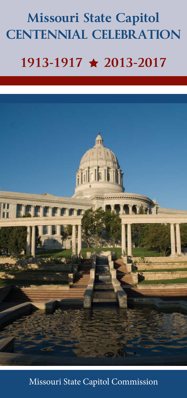## **Missouri State Capitol CENTENNIAL CELEBRATION 1913-1917 ★ 2013-2017**



## Missouri State Capitol Commission